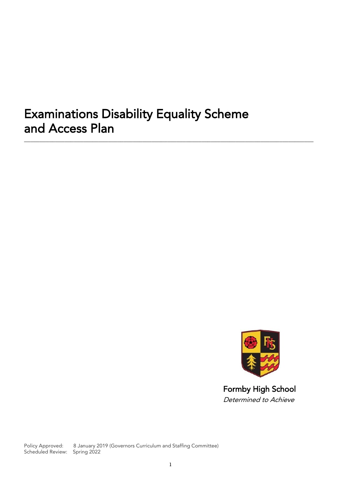# **Examinations Disability Equality Scheme** and Access Plan and Access Plant

\_\_\_\_\_\_\_\_\_\_\_\_\_\_\_\_\_\_\_\_\_\_\_\_\_\_\_\_\_\_\_\_\_\_\_\_\_\_\_\_\_\_\_\_\_\_\_\_\_\_\_\_\_\_\_\_\_\_\_\_\_\_\_\_\_\_\_\_\_\_\_\_\_\_\_\_\_\_\_\_\_\_\_\_\_\_\_\_\_\_\_\_\_



**Determined to Achieve** 

Policy Approved: 8 January 2019 (Governors Curriculum and Staffing Committee) Scheduled Review: Spring 2022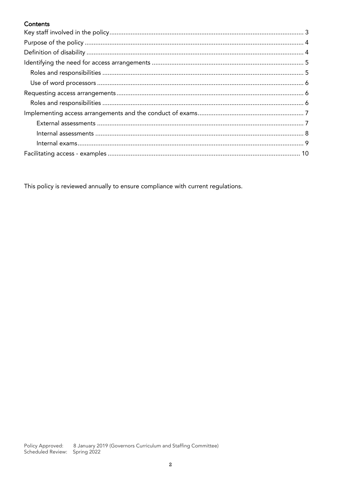## Contents

This policy is reviewed annually to ensure compliance with current regulations.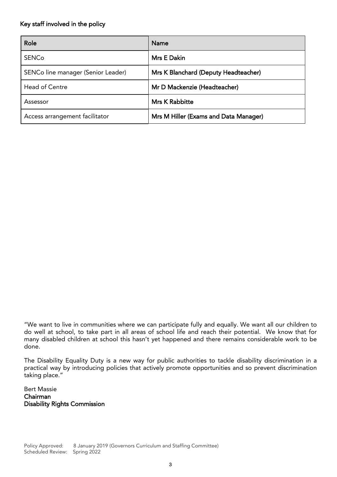#### <span id="page-2-0"></span>Key staff involved in the policy

| Role                               | <b>Name</b>                           |
|------------------------------------|---------------------------------------|
| <b>SENCo</b>                       | Mrs E Dakin                           |
| SENCo line manager (Senior Leader) | Mrs K Blanchard (Deputy Headteacher)  |
| <b>Head of Centre</b>              | Mr D Mackenzie (Headteacher)          |
| Assessor                           | <b>Mrs K Rabbitte</b>                 |
| Access arrangement facilitator     | Mrs M Hiller (Exams and Data Manager) |

"We want to live in communities where we can participate fully and equally. We want all our children to do well at school, to take part in all areas of school life and reach their potential. We know that for many disabled children at school, this hasn't vet hannened and there remains considerable work to be many disabled children at school this hasn't yet happened and there remains considerable work to be done.

 $T$ practical way by internal way by internal actively promote opportunities and so prevent discriminations and so taking place."

**Bert Massie** Chairman Disability I Disability Rights Commission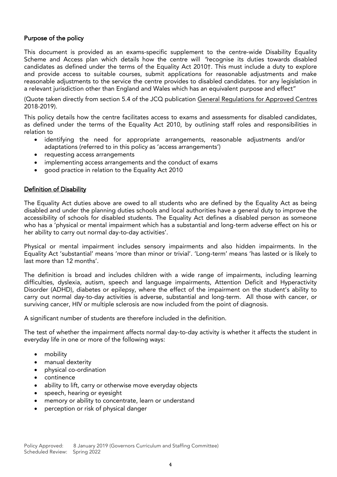#### Purpose of the policy

Scheme and Access plan which details how the centre-will "recognise its duties towards disabled<br>candidates as defined under the terms of the Equality Act 2010 This must include a duty to explore candidates as defined under the terms of the Equality Act 2010†. This must include a duty to explore and provide access to suitable courses, submit applications for reasonable adjustments and make reasonable adjustments to the service the centre provides to disabled candidates. Tor any legislation in a relevant jurisdiction other than England and Wales which has an equivalent purpose and effect"

a relevant jurisdiction other than England and Wales which has an equivalent purpose and effect"  $(2018.2019)$ 2018-2019).<br>This policy details how the centre facilitates access to exams and assessments for disabled candidates,

 $T_{\text{total}}$  as defined under the terms of the Fauality Act 2010, by outlining staff roles and responsibilities in  $\frac{1}{2}$  defined under the terms of the Equality  $\frac{1}{2}$  roles and  $\frac{1}{2}$  roles and responsibilities in responsibilities in  $\frac{1}{2}$ 

- identifying the need for appropriate arrangements, reasonable adjustments and/or<br>adaptations (referred to in this policy as 'access arrangements')
	-
	- requesting access arrangements<br>• implementing access arrangements and the conduct of exams implementing access arrangements and the conduct of exams
	- good practice in relation to the Equality Act 2010

#### <span id="page-3-0"></span>Definition of Disability

The Equality Act duties above are owed to all students who are defined by the Equality Act as being<br>disabled and under the planning duties schools and local authorities have a general duty to improve the accessibility of schools for disabled students. The Equality Act defines a disabled person as someone who has a 'physical or mental impairment which has a substantial and long-term adverse effect on his or  $\frac{1}{2}$  has a bility to carry out normal day-to-day activities' her ability to carry out normal day-to-day activities'.

Physical or mental impairment includes sensory impairments and also hidden impairments. In the<br>Equality Act 'substantial' means 'more than minor or trivial'. 'Long-term' means 'has lasted or is likely to Last more than 12 months'. last more than 12 months'.

The definition is broad and includes children with a wide range of impairments, including learning<br>difficulties, dyslexia, autism, speech and language impairments, Attention Deficit and Hyperactivity Disorder (ADHD), diabetes or epilepsy, where the effect of the impairment on the student's ability to carry out normal day-to-day activities is adverse, substantial and long-term. All those with cancer, or  $\frac{1}{2}$  carry out of  $\frac{1}{2}$  and  $\frac{1}{2}$  are  $\frac{1}{2}$  and  $\frac{1}{2}$  are now included from the point of diagnosis surviving cancer, HIV or multiple sclerosis are now included from the point of diagnosis.

A significant number of students are therefore included in the definition.

The test of whether the impairment affects normal day-to-day activity is whether it affects the student in everyday life in one or more of the following ways: everyday life in one or more of the following ways:

- mobility
- manual dexterity<br>• nhysical co-ordine
- physical co-ordination<br>• continence
- continence<br>• ability to life
- ability to lift, carry or otherwise move everyday objects
- speech, hearing or eyesight
- memory or ability to concentrate, learn or understand
- perception or risk of physical danger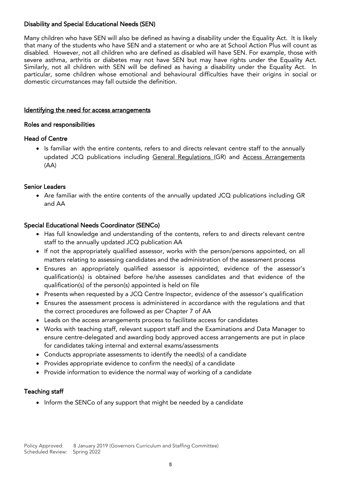# Disability and Special Educational Needs (SEN)

Many children who have SEN will also be defined as having a disability under the Equality Act. It is likely that many of the students who have SEN and a statement or who are at School Action Plus will count as disabled. However, not all children who are defined as disabled will have SEN. For example, those with severe asthma, arthritis or diabetes may not have SEN but may have rights under the Equality Act. Similarly, not all children with SEN will be defined as having a disability under the Equality Act. In particular, some children whose emotional and behavioural difficulties have their origins in social or particular, some children whose emotional and behavioural difficulties have their origins in social or domestic circumstances may fall outside the definition.

### <span id="page-4-0"></span>Identifying the need for access arrangements

#### <span id="page-4-1"></span>ŗ Roles and responsibilities

#### **Head of Centre** Head of Centre

Is familiar with the entire contents, re[fers to and directs rele](http://www.jcq.org.uk/exams-office/general-regulations)vant cent[re staff t](http://www.jcq.org.uk/exams-office/access-arrangements-and-special-consideration/regulations-and-guidance)o the annually<br>undated JCO publications including General Bequlations (GB) and Access Arrangements updated JCQ publications including General Regulations (GR) and Access Arrangements (AA)  $\mathcal{L}$ 

## **Senior Leaders**

• Are familiar with the entire contents of the annually updated JCQ publications including [GR](http://www.jcq.org.uk/exams-office/general-regulations)<br>end AA and Aa

## Special Educational Needs Coordinator (SENCo)

- Has full knowledge and understanding of th[e con](http://www.jcq.org.uk/exams-office/access-arrangements-and-special-consideration/regulations-and-guidance)tents, refers to and directs relevant centre<br>example undertal ICO publication AA
	- If not the appropriately qualified assessor, works with the person/persons appointed, on all<br>metters relating to assessing application and the administration of the assessment process.
	- Ensures relating to accreting candidates and the canonical terms in the accretion processor's<br>• Ensures an appropriately qualified assessor is appointed, evidence of the assessor's qualification(s) is obtained before he/she assesses candidates and that evidence of the
	- Presents when requested by a JCQ Centre Inspector, evidence of the assessor's qualification
	- Ensures the assessment process is administered in acc[ordan](http://www.jcq.org.uk/exams-office/access-arrangements-and-special-consideration/regulations-and-guidance)ce with the regulations and that the correct procedures are followed as per Chapter 7 of AA
	- the correct process arrangements process to facilitate access for candidates
	- Works with teaching staff, relevant support staff and the Examinations and Data Manager to for candidates taking internal and external exams/assessments
	- Conducts appropriate assessments to identify the need(s) of a candidate
	- Provides appropriate evidence to confirm the need(s) of a candidate
	- Provide information to evidence the normal way of working of a candidate

# Teaching staff

• Inform the SENCo of any support that might be needed by a candidate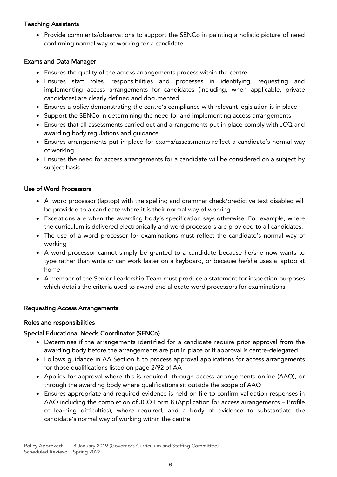# $\mathcal{S}$  assistants

• Provide comments/observations to support the SENCo in painting a holistic picture of need confirming normal way of working for a candidate

#### ľ Exams and Data Manager

- Ensures the quality of the access arrangements process within the centre
- Ensures staff roles, responsibilities and processes in identifying, requesting and candidates) are clearly defined and documented
- Ensures a policy demonstrating the centre's compliance with relevant legislation is in place
- Support the SENCo in determining the need for and implementing access arrangements
- Ensures that all assessments carried out and arrangements put in place comply with JCQ and
- Ensures arrangements put in place for exams/assessments reflect a candidate's normal way<br>of working
- Ensures the need for access arrangements for a candidate will be considered on a subject by<br>aubiect besis subject basis

#### <span id="page-5-0"></span>**Use of Word Processors** Use of Word Processors

- A word processor (laptop) with the spelling and grammar check/predictive text disabled will
- Exceptions are when the awarding body's specification says otherwise. For example, where<br>the curriculum is delivered electronically and word presessess are provided to all candidates
- The use of a word processor for examinations must reflect the candidate's normal way of
- A word processor cannot simply be granted to a candidate because he/she now wants to<br>time rather than write at san work factor on a koyboard or because he/she was a lanten at type rather than write or can work faster on a keyboard, or because he/she uses a laptop at
- A member of the Senior Leadership Team must produce a statement for inspection purposes which details the criteria used to award and allocate word processors for examinations

## <span id="page-5-1"></span> $\overline{a}$ <u>Requesting Access Arrangements</u>

### <span id="page-5-2"></span>Roles and responsibilities

### Special Educational Needs Coordinator (SENCo)

- Determines if the arrangements identified for a candidate require prior approval from the<br>examples body before the arrangements are put in place or if approval is centre delegated
	- Follows guidance in AA Section 8 to proces[s app](http://www.jcq.org.uk/exams-office/access-arrangements-and-special-consideration)roval applications for access arrangements for these qualifications listed on page  $2/92$  of AA
	- Applies for approval where this is required, through access arrangements online (AAO), or<br>through the averding body where qualifications sit outside the scene of AAO
	- Ensures appropriate and required evidence is held on file to confirm validation responses in  $\Lambda$ AAO including the completion of JCQ Form 8 (Application for access arrangements – Profile of learning difficulties), where required, and a body of evidence to substantiate the  $\frac{1}{2}$  candidate/s normal way of working within the control  $\frac{1}{2}$ candidate the conditions with the centre within the centre of within the centre of within the centre of within the centre of  $\frac{1}{2}$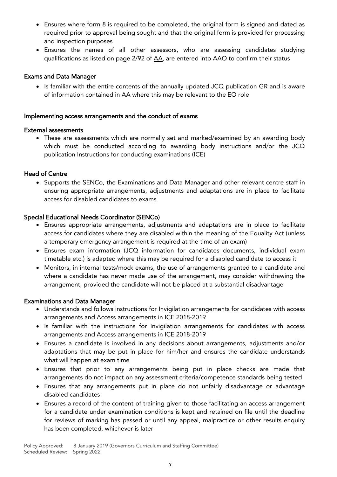- Ensures where form 8 is required to be completed, the original form is signed and dated as and inspection purposes
- Ensures the names of all other assessors, who are assessing candidates studying  $\frac{1}{100}$  and  $\frac{1}{100}$  and  $\frac{1}{100}$  and  $\frac{1}{100}$  and  $\frac{1}{100}$  and  $\frac{1}{100}$  and  $\frac{1}{100}$  and  $\frac{1}{100}$  and  $\frac{1}{100}$ qualifications as listed on page 2/92 of [AA,](http://www.jcq.org.uk/exams-office/access-arrangements-and-special-consideration) are entered into AAO to confirm their status

#### **Exams and Data Manager**

Exams and Data Manager Is familiar with the entire contents of the annually updated JCQ publication [GR](http://www.jcq.org.uk/exams-office/general-regulations) and is aware<br>
of information contained in AA where this may be relevant to the EQ relevant of information contained in [AA](http://www.jcq.org.uk/exams-office/access-arrangements-and-special-consideration/regulations-and-guidance) where this may be relevant to the EO role

#### <span id="page-6-0"></span>Implementing access arrangements and the conduct of exams

<span id="page-6-1"></span>• These are assessments which are normally set and marked/examined by an awarding body<br>which must be conducted assessing to austrian body instructions and/or the ICO which must be conducted according to and any decy instructions and  $\epsilon$  is  $\epsilon$ publication  $\mathbf{r}$  is the conductions for conducting  $\mathbf{r}$ 

• Supports the SENCo, the Examinations and Data Manager and other relevant centre staff in<br>
ensuring appropriate arrangements, adjustments and adoptations are in place to facilitate ensuring appropriate arrangements, adjustments and adaptations are in place to facilitate access for disabled candidates to exams

- Ensures appropriate arrangements, adjustments and adaptations are in place to facilitate<br>• Secore for candidates where they are disabled within the meaning of the Equality Act (unless) access for candidates where they are disabled within the meaning of the Equality Act (unless a temporary emergency arrangement is required at the time of an exam)
	- Ensures exam information (JCQ information for candidates documents, individual exam<br>
	timetable at a) is adopted where this may be required for a disabled eardidate to seeses it
	- Monitors, in internal tests/mock exams, the use of arrangements granted to a candidate and<br>where a candidate has nover made use of the arrangement, may cancider withdrawing the  $w$  can can can can did the arrangement, made use of the arrangement, may consider  $y$  of the arrangement, may consider  $w$  in  $y$  are  $y$  are  $y$  are  $y$  are  $y$  are  $y$  are  $y$  are  $y$  are  $y$  are  $y$  are  $y$  are  $y$  ar arrangement, provided the candidate will not be placed at a substantial disadvantage

### **Examinations and Data Manager**

- **Examinations and Examinations and follows** instructions for I[nvigila](http://www.jcq.org.uk/exams-office/ice---instructions-for-conducting-examinations)tion arrangements for candidates with access<br>**Examplements and Access arrangements in ICE 2018-2019** 
	- Is familiar with the instructions for Invi[gilatio](http://www.jcq.org.uk/exams-office/ice---instructions-for-conducting-examinations)n arrangements for candidates with access
	- Ensures a candidate is involved in any decisions about arrangements, adjustments and/or<br>adoptations that may be nut in place for him/ber and ensures the candidate understands adaptations that may be put in place for him/her and ensures the candidate understands what will happen at exam time
	- Ensures that prior to any arrangements being put in place checks are made that<br>examples that prior to any arrangements being put in place checks are made that
	- Ensures that any arrangements put in place do not unfairly disadvantage or advantage
	- Ensures a record of the content of training given to those facilitating an access arrangement<br>for a candidate under examination conditions is kent and retained on file until the deadline for a candidate under examination conditions is kept and retained on file until the deadline<br>for reviews of marking has passed or until any appeal, malpractice or other results enguiry for reviews of marking has passed or until any appeal, malpractice or other results enquiry has been completed, whichever is later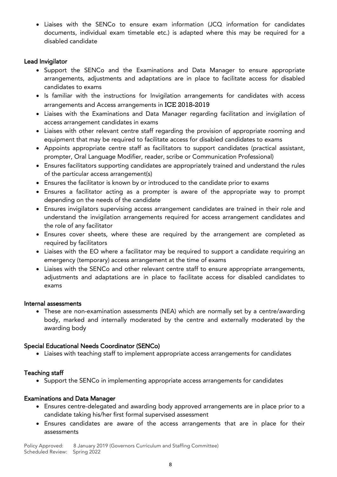• Liaises with the SENCo to ensure exam information (JCQ information for candidates documents, individual exam timetable etc.) is adapted where this may be required for a disabled candidate disabled candidate

- **Exaministrator**<br>
 Support the SENCo and the Examinations and Data Manager to ensure appropriate<br> **Example 2008** arrangements adjustments and adentations are in place to facilitate access for disphad arrangements, adjustments and adaptations are in place to facilitate access for disabled
	- Is familiar with the instructions for Invigilation arrangements for candidates with access arrangements and Access arrangements in [ICE](http://www.jcq.org.uk/exams-office/ice---instructions-for-conducting-examinations) 2018-2019
	- Liaises with the Examinations and Data Manager regarding facilitation and invigilation of
	- Liaises with other relevant centre staff regarding the provision of appropriate rooming and<br>examinent that may be required to feellitate access for dischled candidates to exame
	- equipment that may be required to facilitate access for disabled candidates (practical assistant,<br>Appoints appropriate centre staff as facilitators to support candidates (practical assistant,
	- Ensures facilitators supporting candidates are appropriately trained and understand the rules<br>
	of the porticular access arrangement(s)
	- Ensures the facilitator is known by or introduced to the candidate prior to exams
	- Ensures a facilitator acting as a prompter is aware of the appropriate way to prompt
	- Ensures invigilators supervising access arrangement candidates are trained in their role and<br>understand the invigilation excapaments required for access arrangement candidates and understand the invigilation arrangements required for access arrangement candidates and
	- Ensures cover sheets, where these are required by the arrangement are completed as<br>required by facilitators
	- Liaises with the EO where a facilitator may be required to support a candidate requiring an
	- Liaises with the SENCo and other relevant centre staff to ensure appropriate arrangements, adjustments and adaptations are in place to facilitate access for disabled candidates to

### <span id="page-7-0"></span>Internal assessments

These are non-examination assessments (NEA) which are normally set by a centre/awarding<br>hody marked and internally moderated by the centre and externally moderated by the body, marked and internally moderated by the centre and externally moderated by the awarding body

**•** Liaises with teaching staff to implement appropriate access arrangements for candidates<br>• Liaises with teaching staff to implement appropriate access arrangements for candidates

• Support the SENCo in implementing appropriate access arrangements for candidates<br>• Support the SENCo in implementing appropriate access arrangements for candidates

#### **Examinations and Data Manager**

- **Examinations and Data Manager**<br> **Ensures centre-delegated and awarding body approved arrangements are in place prior to a**<br>
condidate taking bis/ber first formal supervised assessment
	- Ensures candidates are aware of the access arrangements that are in place for their assessments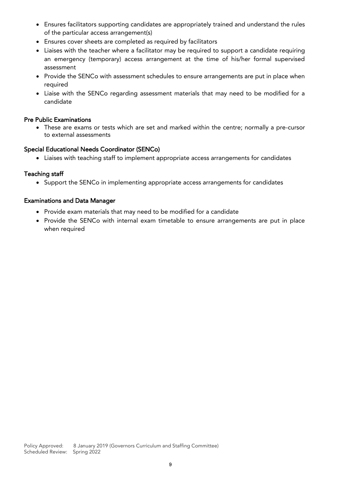- Ensures facilitators supporting candidates are appropriately trained and understand the rules
- Ensures cover sheets are completed as required by facilitators
- Liaises with the teacher where a facilitator may be required to support a candidate requiring an emergency (temporary) access arrangement at the time of his/her formal supervised
- Provide the SENCo with assessment schedules to ensure arrangements are put in place when<br>required
- Liaise with the SENCo regarding assessment materials that may need to be modified for a<br>condidate candidate

• These are exams or tests which are set and marked within the centre; normally a pre-cursor<br>to external assessments to external assessments

## Special Educational Needs Coordinator (SENCo)

**•** Liaises with teaching staff to implement appropriate access arrangements for candidates<br>• Liaises with teaching staff to implement appropriate access arrangements for candidates

• Support the SENCo in implementing appropriate access arrangements for candidates<br>• Support the SENCo in implementing appropriate access arrangements for candidates

## Examinations and Data Manager

- Provide exam materials that may need to be modified for a candidate
- <span id="page-8-0"></span>• Provide the SENCo with internal exam timetable to ensure arrangements are put in place when required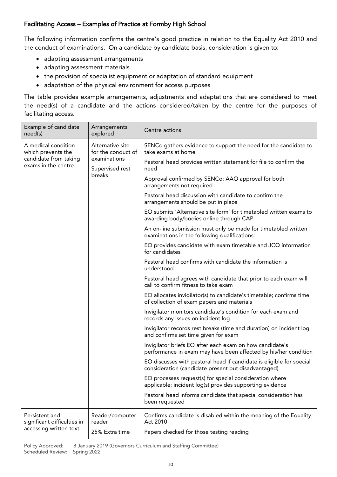## Facilitating Access – Examples of Practice at Formby High School

 $T$  following information confidence in relation  $\frac{1}{2}$  good practice in relation to the Equality Act 2010 and  $\frac{1}{2}$  $t$  the conduct of examinations. On a candidate by candidate basis, consideration is given to:

- adapting assessment arrangements
- adapting assessment materials
- the provision of specialist equipment or adaptation of standard equipment
- 

• adaptation of the physical environment for access purposes<br>The table provides example arrangements, adjustments and adaptations that are considered to meet  $T_{\text{max}}$  are table provided and the extens considered to meet the contra for the nurnesse of  $t_{\rm helitating\; 20000}$ facilitating access.

| Example of candidate<br>need(s)                                                           | Arrangements<br>explored                                                            | Centre actions                                                                                                              |
|-------------------------------------------------------------------------------------------|-------------------------------------------------------------------------------------|-----------------------------------------------------------------------------------------------------------------------------|
| A medical condition<br>which prevents the<br>candidate from taking<br>exams in the centre | Alternative site<br>for the conduct of<br>examinations<br>Supervised rest<br>breaks | SENCo gathers evidence to support the need for the candidate to<br>take exams at home                                       |
|                                                                                           |                                                                                     | Pastoral head provides written statement for file to confirm the<br>need                                                    |
|                                                                                           |                                                                                     | Approval confirmed by SENCo; AAO approval for both<br>arrangements not required                                             |
|                                                                                           |                                                                                     | Pastoral head discussion with candidate to confirm the<br>arrangements should be put in place                               |
|                                                                                           |                                                                                     | EO submits 'Alternative site form' for timetabled written exams to<br>awarding body/bodies online through CAP               |
|                                                                                           |                                                                                     | An on-line submission must only be made for timetabled written<br>examinations in the following qualifications:             |
|                                                                                           |                                                                                     | EO provides candidate with exam timetable and JCQ information<br>for candidates                                             |
|                                                                                           |                                                                                     | Pastoral head confirms with candidate the information is<br>understood                                                      |
|                                                                                           |                                                                                     | Pastoral head agrees with candidate that prior to each exam will<br>call to confirm fitness to take exam                    |
|                                                                                           |                                                                                     | EO allocates invigilator(s) to candidate's timetable; confirms time<br>of collection of exam papers and materials           |
|                                                                                           |                                                                                     | Invigilator monitors candidate's condition for each exam and<br>records any issues on incident log                          |
|                                                                                           |                                                                                     | Invigilator records rest breaks (time and duration) on incident log<br>and confirms set time given for exam                 |
|                                                                                           |                                                                                     | Invigilator briefs EO after each exam on how candidate's<br>performance in exam may have been affected by his/her condition |
|                                                                                           |                                                                                     | EO discusses with pastoral head if candidate is eligible for special<br>consideration (candidate present but disadvantaged) |
|                                                                                           |                                                                                     | EO processes request(s) for special consideration where<br>applicable; incident log(s) provides supporting evidence         |
|                                                                                           |                                                                                     | Pastoral head informs candidate that special consideration has<br>been requested                                            |
| Persistent and<br>significant difficulties in<br>accessing written text                   | Reader/computer<br>reader                                                           | Confirms candidate is disabled within the meaning of the Equality<br>Act 2010                                               |
|                                                                                           | 25% Extra time                                                                      | Papers checked for those testing reading                                                                                    |

Policy Approved: 8 January 2019 (Governors Curriculum and Staffing Committee) Scheduled Review: Spring 2022